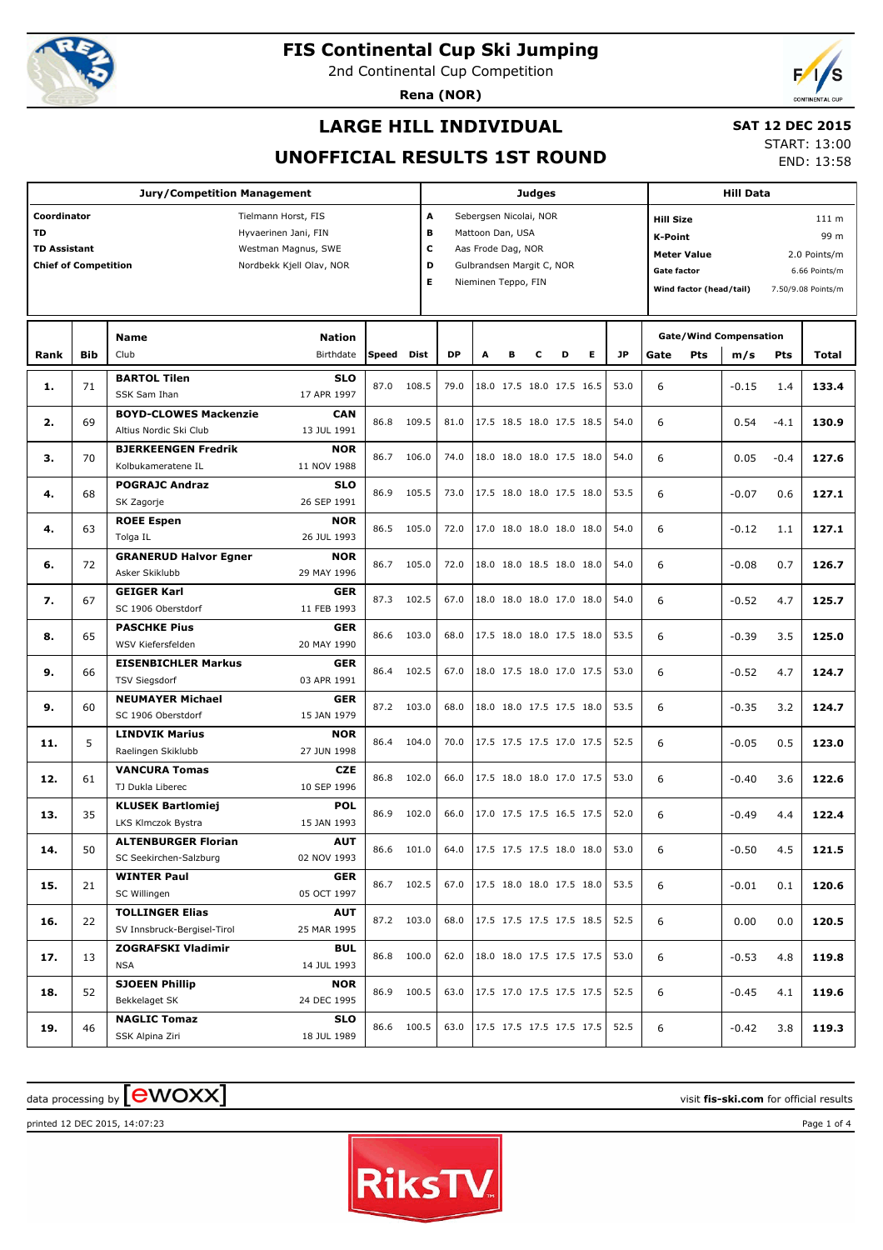

2nd Continental Cup Competition

**Rena (NOR)**



## **LARGE HILL INDIVIDUAL**

#### **SAT 12 DEC 2015**

**UNOFFICIAL RESULTS 1ST ROUND**

START: 13:00 END: 13:58

|                             |            | <b>Jury/Competition Management</b>         |       |            |                               |                                 |                          | <b>Judges</b> |   |   |           |                    | <b>Hill Data</b>        |                               |            |                    |  |
|-----------------------------|------------|--------------------------------------------|-------|------------|-------------------------------|---------------------------------|--------------------------|---------------|---|---|-----------|--------------------|-------------------------|-------------------------------|------------|--------------------|--|
| Coordinator                 |            | Tielmann Horst, FIS                        |       | A          |                               | Sebergsen Nicolai, NOR          |                          |               |   |   |           | <b>Hill Size</b>   |                         |                               |            | 111 m              |  |
| TD                          |            | Hyvaerinen Jani, FIN                       |       | в          |                               | Mattoon Dan, USA                |                          |               |   |   |           | <b>K-Point</b>     |                         |                               |            | 99 m               |  |
| <b>TD Assistant</b>         |            | Westman Magnus, SWE                        |       | c          |                               | Aas Frode Dag, NOR              |                          |               |   |   |           |                    | <b>Meter Value</b>      |                               |            | 2.0 Points/m       |  |
| <b>Chief of Competition</b> |            | Nordbekk Kjell Olav, NOR                   |       | D          |                               | Gulbrandsen Margit C, NOR       |                          |               |   |   |           | <b>Gate factor</b> |                         |                               |            | 6.66 Points/m      |  |
|                             |            |                                            |       | E.         |                               | Nieminen Teppo, FIN             |                          |               |   |   |           |                    | Wind factor (head/tail) |                               |            | 7.50/9.08 Points/m |  |
|                             |            |                                            |       |            |                               |                                 |                          |               |   |   |           |                    |                         |                               |            |                    |  |
|                             |            |                                            |       |            |                               |                                 |                          |               |   |   |           |                    |                         |                               |            |                    |  |
|                             |            | <b>Nation</b><br><b>Name</b>               |       |            |                               |                                 |                          |               |   |   |           |                    |                         | <b>Gate/Wind Compensation</b> |            |                    |  |
| Rank                        | <b>Bib</b> | Birthdate<br>Club                          | Speed | Dist       | <b>DP</b>                     | A                               | в                        | C             | D | Е | <b>JP</b> | Gate               | Pts                     | m/s                           | <b>Pts</b> | Total              |  |
| 1.                          | 71         | <b>BARTOL Tilen</b><br><b>SLO</b>          | 87.0  | 108.5      | 79.0                          |                                 | 18.0 17.5 18.0 17.5 16.5 |               |   |   | 53.0      | 6                  |                         | $-0.15$                       | 1.4        | 133.4              |  |
|                             |            | 17 APR 1997<br>SSK Sam Ihan                |       |            |                               |                                 |                          |               |   |   |           |                    |                         |                               |            |                    |  |
| 2.                          | 69         | <b>BOYD-CLOWES Mackenzie</b><br><b>CAN</b> | 86.8  | 109.5      | 81.0                          |                                 | 17.5 18.5 18.0 17.5 18.5 |               |   |   | 54.0      | 6                  |                         | 0.54                          | $-4.1$     | 130.9              |  |
|                             |            | Altius Nordic Ski Club<br>13 JUL 1991      |       |            |                               |                                 |                          |               |   |   |           |                    |                         |                               |            |                    |  |
| з.                          | 70         | <b>BJERKEENGEN Fredrik</b><br><b>NOR</b>   | 86.7  | 106.0      | 74.0                          |                                 | 18.0 18.0 18.0 17.5 18.0 |               |   |   | 54.0      | 6                  |                         | 0.05                          | $-0.4$     | 127.6              |  |
|                             |            | Kolbukameratene IL<br>11 NOV 1988          |       |            |                               |                                 |                          |               |   |   |           |                    |                         |                               |            |                    |  |
| 4.                          | 68         | <b>SLO</b><br><b>POGRAJC Andraz</b>        | 86.9  | 105.5      | 73.0                          |                                 | 17.5 18.0 18.0 17.5 18.0 |               |   |   | 53.5      | 6                  |                         | $-0.07$                       | 0.6        | 127.1              |  |
|                             |            | 26 SEP 1991<br>SK Zagorje                  |       |            |                               |                                 |                          |               |   |   |           |                    |                         |                               |            |                    |  |
| 4.                          | 63         | <b>ROEE Espen</b><br><b>NOR</b>            | 86.5  | 105.0      | 72.0                          |                                 | 17.0 18.0 18.0 18.0 18.0 |               |   |   | 54.0      | 6                  |                         | $-0.12$                       | 1.1        | 127.1              |  |
|                             |            | Tolga IL<br>26 JUL 1993                    |       |            |                               |                                 |                          |               |   |   |           |                    |                         |                               |            |                    |  |
| 6.                          | 72         | <b>GRANERUD Halvor Egner</b><br><b>NOR</b> | 86.7  | 105.0      | 72.0                          |                                 | 18.0 18.0 18.5 18.0 18.0 |               |   |   | 54.0      | 6                  |                         | $-0.08$                       | 0.7        | 126.7              |  |
|                             |            | 29 MAY 1996<br>Asker Skiklubb              |       |            |                               |                                 |                          |               |   |   |           |                    |                         |                               |            |                    |  |
| 7.                          | 67         | <b>GEIGER Karl</b><br><b>GER</b>           | 87.3  | 102.5      | 67.0                          |                                 | 18.0 18.0 18.0 17.0 18.0 |               |   |   | 54.0      | 6                  |                         | $-0.52$                       | 4.7        | 125.7              |  |
|                             |            | SC 1906 Oberstdorf<br>11 FEB 1993          |       |            |                               |                                 |                          |               |   |   |           |                    |                         |                               |            |                    |  |
| 8.                          | 65         | <b>PASCHKE Pius</b><br><b>GER</b>          | 86.6  | 103.0      | 68.0                          |                                 | 17.5 18.0 18.0 17.5 18.0 |               |   |   | 53.5      | 6                  |                         | $-0.39$                       | 3.5        | 125.0              |  |
|                             |            | WSV Kiefersfelden<br>20 MAY 1990           |       |            |                               |                                 |                          |               |   |   |           |                    |                         |                               |            |                    |  |
| 9.                          | 66         | <b>EISENBICHLER Markus</b><br><b>GER</b>   | 86.4  | 102.5      | 67.0                          |                                 | 18.0 17.5 18.0 17.0 17.5 |               |   |   | 53.0      | 6                  |                         | $-0.52$                       | 4.7        | 124.7              |  |
|                             |            | 03 APR 1991<br><b>TSV Siegsdorf</b>        |       |            |                               |                                 |                          |               |   |   |           |                    |                         |                               |            |                    |  |
| 9.                          | 60         | <b>NEUMAYER Michael</b><br><b>GER</b>      | 87.2  | 103.0      | 68.0                          |                                 | 18.0 18.0 17.5 17.5 18.0 |               |   |   | 53.5      | 6                  |                         | $-0.35$                       | 3.2        | 124.7              |  |
|                             |            | SC 1906 Oberstdorf<br>15 JAN 1979          |       |            |                               |                                 |                          |               |   |   |           |                    |                         |                               |            |                    |  |
| 11.                         | 5          | <b>LINDVIK Marius</b><br><b>NOR</b>        | 86.4  | 104.0      | 70.0                          |                                 | 17.5 17.5 17.5 17.0 17.5 |               |   |   | 52.5      | 6                  |                         | $-0.05$                       | 0.5        | 123.0              |  |
|                             |            | 27 JUN 1998<br>Raelingen Skiklubb          |       |            |                               |                                 |                          |               |   |   |           |                    |                         |                               |            |                    |  |
| 12.                         | 61         | <b>VANCURA Tomas</b><br><b>CZE</b>         | 86.8  | 102.0      | 66.0                          |                                 | 17.5 18.0 18.0 17.0 17.5 |               |   |   | 53.0      | 6                  |                         | $-0.40$                       | 3.6        | 122.6              |  |
|                             |            | 10 SEP 1996<br>TJ Dukla Liberec            |       |            |                               |                                 |                          |               |   |   |           |                    |                         |                               |            |                    |  |
| 13.                         | 35         | <b>KLUSEK Bartlomiej</b><br><b>POL</b>     | 86.9  | 102.0      | 66.0                          |                                 | 17.0 17.5 17.5 16.5 17.5 |               |   |   | 52.0      | 6                  |                         | $-0.49$                       | 4.4        | 122.4              |  |
|                             |            | LKS Klmczok Bystra<br>15 JAN 1993          |       |            |                               |                                 |                          |               |   |   |           |                    |                         |                               |            |                    |  |
| 14.                         | 50         | <b>AUT</b><br><b>ALTENBURGER Florian</b>   |       | 86.6 101.0 | 64.0 17.5 17.5 17.5 18.0 18.0 |                                 |                          |               |   |   | 53.0      | 6                  |                         | $-0.50$                       | 4.5        | 121.5              |  |
|                             |            | SC Seekirchen-Salzburg<br>02 NOV 1993      |       |            |                               |                                 |                          |               |   |   |           |                    |                         |                               |            |                    |  |
| 15.                         | 21         | <b>WINTER Paul</b><br><b>GER</b>           |       | 86.7 102.5 |                               | 67.0   17.5 18.0 18.0 17.5 18.0 |                          |               |   |   | 53.5      | 6                  |                         | $-0.01$                       | 0.1        | 120.6              |  |
|                             |            | 05 OCT 1997<br>SC Willingen                |       |            |                               |                                 |                          |               |   |   |           |                    |                         |                               |            |                    |  |
| 16.                         | 22         | <b>TOLLINGER Elias</b><br><b>AUT</b>       |       | 87.2 103.0 |                               | 68.0   17.5 17.5 17.5 17.5 18.5 |                          |               |   |   | 52.5      | 6                  |                         | 0.00                          | 0.0        | 120.5              |  |
|                             |            | SV Innsbruck-Bergisel-Tirol<br>25 MAR 1995 |       |            |                               |                                 |                          |               |   |   |           |                    |                         |                               |            |                    |  |
| 17.                         | 13         | ZOGRAFSKI Vladimir<br><b>BUL</b>           |       | 86.8 100.0 | 62.0                          |                                 | 18.0 18.0 17.5 17.5 17.5 |               |   |   | 53.0      | 6                  |                         | $-0.53$                       | 4.8        | 119.8              |  |
|                             |            | <b>NSA</b><br>14 JUL 1993                  |       |            |                               |                                 |                          |               |   |   |           |                    |                         |                               |            |                    |  |
| 18.                         | 52         | <b>SJOEEN Phillip</b><br><b>NOR</b>        |       | 86.9 100.5 | 63.0                          |                                 | 17.5 17.0 17.5 17.5 17.5 |               |   |   | 52.5      | 6                  |                         | $-0.45$                       | 4.1        | 119.6              |  |
|                             |            | 24 DEC 1995<br>Bekkelaget SK               |       |            |                               |                                 |                          |               |   |   |           |                    |                         |                               |            |                    |  |
| 19.                         | 46         | <b>NAGLIC Tomaz</b><br><b>SLO</b>          |       | 86.6 100.5 |                               | 63.0   17.5 17.5 17.5 17.5 17.5 |                          |               |   |   | 52.5      | 6                  |                         | $-0.42$                       | 3.8        | 119.3              |  |
|                             |            | SSK Alpina Ziri<br>18 JUL 1989             |       |            |                               |                                 |                          |               |   |   |           |                    |                         |                               |            |                    |  |

### $\frac{1}{2}$  data processing by  $\boxed{\text{ewOX}}$

printed 12 DEC 2015, 14:07:23 Page 1 of 4

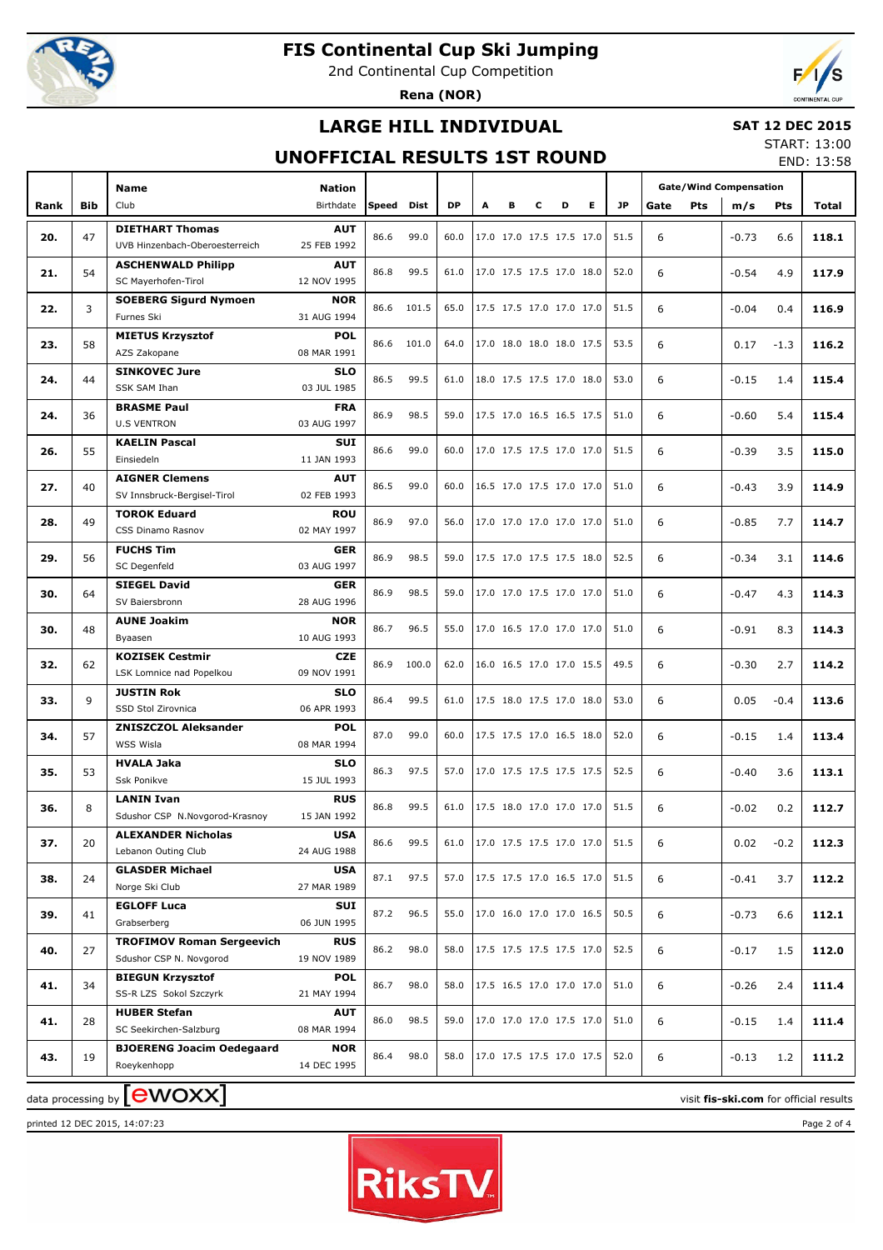

2nd Continental Cup Competition

**Rena (NOR)**



## **LARGE HILL INDIVIDUAL**

#### **SAT 12 DEC 2015**

### **UNOFFICIAL RESULTS 1ST ROUND**

START: 13:00 END: 13:58

|      |            | <b>Name</b>                                      | <b>Nation</b>             |       |       |           |   |   |                          |   |                          |      | <b>Gate/Wind Compensation</b> |     |         |            |       |
|------|------------|--------------------------------------------------|---------------------------|-------|-------|-----------|---|---|--------------------------|---|--------------------------|------|-------------------------------|-----|---------|------------|-------|
| Rank | <b>Bib</b> | Club                                             | Birthdate                 | Speed | Dist  | <b>DP</b> | А | в | c                        | D | Е                        | JP   | Gate                          | Pts | m/s     | <b>Pts</b> | Total |
|      |            | <b>DIETHART Thomas</b>                           | <b>AUT</b>                |       |       |           |   |   |                          |   |                          |      |                               |     |         |            |       |
| 20.  | 47         | UVB Hinzenbach-Oberoesterreich                   | 25 FEB 1992               | 86.6  | 99.0  | 60.0      |   |   | 17.0 17.0 17.5 17.5 17.0 |   |                          | 51.5 | 6                             |     | $-0.73$ | 6.6        | 118.1 |
|      |            | <b>ASCHENWALD Philipp</b>                        | <b>AUT</b>                |       |       |           |   |   |                          |   |                          |      |                               |     |         |            |       |
| 21.  | 54         | SC Mayerhofen-Tirol                              | 12 NOV 1995               | 86.8  | 99.5  | 61.0      |   |   | 17.0 17.5 17.5 17.0 18.0 |   |                          | 52.0 | 6                             |     | $-0.54$ | 4.9        | 117.9 |
|      |            | <b>SOEBERG Sigurd Nymoen</b>                     | NOR                       |       |       |           |   |   |                          |   |                          |      |                               |     |         |            |       |
| 22.  | 3          | Furnes Ski                                       | 31 AUG 1994               | 86.6  | 101.5 | 65.0      |   |   | 17.5 17.5 17.0 17.0 17.0 |   |                          | 51.5 | 6                             |     | $-0.04$ | 0.4        | 116.9 |
|      |            | <b>MIETUS Krzysztof</b>                          | <b>POL</b>                |       |       |           |   |   |                          |   |                          |      |                               |     |         |            |       |
| 23.  | 58         | AZS Zakopane                                     | 08 MAR 1991               | 86.6  | 101.0 | 64.0      |   |   | 17.0 18.0 18.0 18.0 17.5 |   |                          | 53.5 | 6                             |     | 0.17    | $-1.3$     | 116.2 |
|      |            | <b>SINKOVEC Jure</b>                             | <b>SLO</b>                | 86.5  |       |           |   |   | 18.0 17.5 17.5 17.0 18.0 |   |                          |      |                               |     |         |            |       |
| 24.  | 44         | SSK SAM Ihan                                     | 03 JUL 1985               |       | 99.5  | 61.0      |   |   |                          |   |                          | 53.0 | 6                             |     | $-0.15$ | 1.4        | 115.4 |
| 24.  | 36         | <b>BRASME Paul</b>                               | <b>FRA</b>                | 86.9  | 98.5  | 59.0      |   |   | 17.5 17.0 16.5 16.5 17.5 |   |                          | 51.0 | 6                             |     | $-0.60$ | 5.4        | 115.4 |
|      |            | <b>U.S VENTRON</b>                               | 03 AUG 1997               |       |       |           |   |   |                          |   |                          |      |                               |     |         |            |       |
| 26.  | 55         | <b>KAELIN Pascal</b>                             | <b>SUI</b>                | 86.6  | 99.0  | 60.0      |   |   | 17.0 17.5 17.5 17.0 17.0 |   |                          | 51.5 | 6                             |     | $-0.39$ | 3.5        | 115.0 |
|      |            | Einsiedeln                                       | 11 JAN 1993               |       |       |           |   |   |                          |   |                          |      |                               |     |         |            |       |
| 27.  | 40         | <b>AIGNER Clemens</b>                            | <b>AUT</b>                | 86.5  | 99.0  | 60.0      |   |   | 16.5 17.0 17.5 17.0 17.0 |   |                          | 51.0 | 6                             |     | $-0.43$ | 3.9        | 114.9 |
|      |            | SV Innsbruck-Bergisel-Tirol                      | 02 FEB 1993               |       |       |           |   |   |                          |   |                          |      |                               |     |         |            |       |
| 28.  | 49         | <b>TOROK Eduard</b>                              | <b>ROU</b>                | 86.9  | 97.0  | 56.0      |   |   | 17.0 17.0 17.0 17.0 17.0 |   |                          | 51.0 | 6                             |     | $-0.85$ | 7.7        | 114.7 |
|      |            | CSS Dinamo Rasnov                                | 02 MAY 1997               |       |       |           |   |   |                          |   |                          |      |                               |     |         |            |       |
| 29.  | 56         | <b>FUCHS Tim</b><br>SC Degenfeld                 | <b>GER</b><br>03 AUG 1997 | 86.9  | 98.5  | 59.0      |   |   | 17.5 17.0 17.5 17.5 18.0 |   |                          | 52.5 | 6                             |     | $-0.34$ | 3.1        | 114.6 |
|      |            | <b>SIEGEL David</b>                              | <b>GER</b>                |       |       |           |   |   |                          |   |                          |      |                               |     |         |            |       |
| 30.  | 64         | SV Baiersbronn                                   | 28 AUG 1996               | 86.9  | 98.5  | 59.0      |   |   | 17.0 17.0 17.5 17.0 17.0 |   |                          | 51.0 | 6                             |     | $-0.47$ | 4.3        | 114.3 |
|      |            | <b>AUNE Joakim</b>                               | <b>NOR</b>                |       |       |           |   |   |                          |   |                          |      |                               |     |         |            |       |
| 30.  | 48         | Byaasen                                          | 10 AUG 1993               | 86.7  | 96.5  | 55.0      |   |   | 17.0 16.5 17.0 17.0 17.0 |   |                          | 51.0 | 6                             |     | $-0.91$ | 8.3        | 114.3 |
|      |            | <b>KOZISEK Cestmir</b>                           | <b>CZE</b>                |       |       |           |   |   |                          |   |                          |      |                               |     |         |            |       |
| 32.  | 62         | LSK Lomnice nad Popelkou                         | 09 NOV 1991               | 86.9  | 100.0 | 62.0      |   |   | 16.0 16.5 17.0 17.0 15.5 |   |                          | 49.5 | 6                             |     | $-0.30$ | 2.7        | 114.2 |
|      |            | <b>JUSTIN Rok</b>                                | <b>SLO</b>                |       |       |           |   |   |                          |   |                          |      |                               |     |         |            |       |
| 33.  | 9          | SSD Stol Zirovnica                               | 06 APR 1993               | 86.4  | 99.5  | 61.0      |   |   | 17.5 18.0 17.5 17.0 18.0 |   |                          | 53.0 | 6                             |     | 0.05    | $-0.4$     | 113.6 |
| 34.  | 57         | <b>ZNISZCZOL Aleksander</b>                      | <b>POL</b>                | 87.0  | 99.0  | 60.0      |   |   | 17.5 17.5 17.0 16.5 18.0 |   |                          | 52.0 | 6                             |     | $-0.15$ |            | 113.4 |
|      |            | WSS Wisla                                        | 08 MAR 1994               |       |       |           |   |   |                          |   |                          |      |                               |     |         | 1.4        |       |
| 35.  | 53         | <b>HVALA Jaka</b>                                | <b>SLO</b>                | 86.3  | 97.5  | 57.0      |   |   | 17.0 17.5 17.5 17.5 17.5 |   |                          | 52.5 | 6                             |     | $-0.40$ | 3.6        | 113.1 |
|      |            | Ssk Ponikve                                      | 15 JUL 1993               |       |       |           |   |   |                          |   |                          |      |                               |     |         |            |       |
| 36.  | 8          | <b>LANIN Ivan</b>                                | <b>RUS</b>                | 86.8  | 99.5  | 61.0      |   |   | 17.5 18.0 17.0 17.0 17.0 |   |                          | 51.5 | 6                             |     | $-0.02$ | 0.2        | 112.7 |
|      |            | Sdushor CSP N.Novgorod-Krasnoy                   | 15 JAN 1992               |       |       |           |   |   |                          |   |                          |      |                               |     |         |            |       |
| 37.  | 20         | <b>ALEXANDER Nicholas</b><br>Lebanon Outing Club | <b>USA</b><br>24 AUG 1988 | 86.6  | 99.5  | 61.0      |   |   | 17.0 17.5 17.5 17.0 17.0 |   |                          | 51.5 | 6                             |     | 0.02    | $-0.2$     | 112.3 |
|      |            | <b>GLASDER Michael</b>                           | <b>USA</b>                |       |       |           |   |   |                          |   |                          |      |                               |     |         |            |       |
| 38.  | 24         | Norge Ski Club                                   | 27 MAR 1989               | 87.1  | 97.5  | 57.0      |   |   | 17.5 17.5 17.0 16.5 17.0 |   |                          | 51.5 | 6                             |     | $-0.41$ | 3.7        | 112.2 |
|      |            | <b>EGLOFF Luca</b>                               | <b>SUI</b>                |       |       |           |   |   |                          |   |                          |      |                               |     |         |            |       |
| 39.  | 41         | Grabserberg                                      | 06 JUN 1995               | 87.2  | 96.5  | 55.0      |   |   | 17.0 16.0 17.0 17.0 16.5 |   |                          | 50.5 | 6                             |     | $-0.73$ | 6.6        | 112.1 |
|      |            | <b>TROFIMOV Roman Sergeevich</b>                 | <b>RUS</b>                |       |       |           |   |   |                          |   |                          |      |                               |     |         |            |       |
| 40.  | 27         | Sdushor CSP N. Novgorod                          | 19 NOV 1989               | 86.2  | 98.0  | 58.0      |   |   | 17.5 17.5 17.5 17.5 17.0 |   |                          | 52.5 | 6                             |     | $-0.17$ | 1.5        | 112.0 |
|      |            | <b>BIEGUN Krzysztof</b>                          | <b>POL</b>                |       |       |           |   |   |                          |   |                          |      |                               |     |         |            |       |
| 41.  | 34         | SS-R LZS Sokol Szczyrk                           | 21 MAY 1994               | 86.7  | 98.0  | 58.0      |   |   |                          |   | 17.5 16.5 17.0 17.0 17.0 | 51.0 | 6                             |     | $-0.26$ | 2.4        | 111.4 |
| 41.  | 28         | <b>HUBER Stefan</b>                              | <b>AUT</b>                | 86.0  | 98.5  | 59.0      |   |   |                          |   | 17.0 17.0 17.0 17.5 17.0 | 51.0 | 6                             |     | $-0.15$ | 1.4        | 111.4 |
|      |            | SC Seekirchen-Salzburg                           | 08 MAR 1994               |       |       |           |   |   |                          |   |                          |      |                               |     |         |            |       |
| 43.  | 19         | <b>BJOERENG Joacim Oedegaard</b>                 | <b>NOR</b>                | 86.4  | 98.0  | 58.0      |   |   | 17.0 17.5 17.5 17.0 17.5 |   |                          | 52.0 | 6                             |     | $-0.13$ | 1.2        | 111.2 |
|      |            | Roeykenhopp                                      | 14 DEC 1995               |       |       |           |   |   |                          |   |                          |      |                               |     |         |            |       |

printed 12 DEC 2015, 14:07:23 Page 2 of 4

data processing by **CWOXX** and  $\overline{C}$  and  $\overline{C}$  and  $\overline{C}$  and  $\overline{C}$  and  $\overline{C}$  and  $\overline{C}$  and  $\overline{C}$  and  $\overline{C}$  and  $\overline{C}$  and  $\overline{C}$  and  $\overline{C}$  and  $\overline{C}$  and  $\overline{C}$  and  $\overline{C}$  and  $\overline{C}$ 

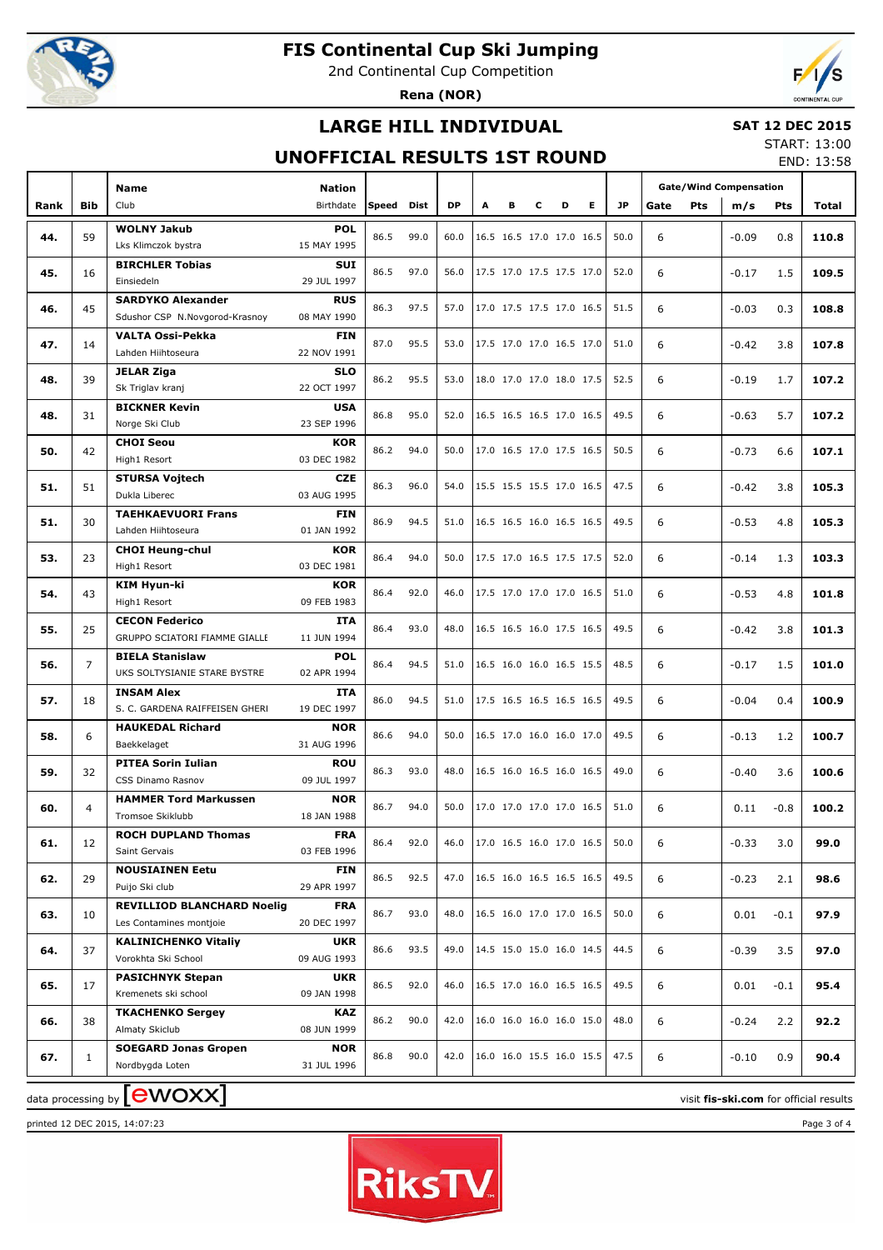

2nd Continental Cup Competition

**Rena (NOR)**



## **LARGE HILL INDIVIDUAL**

#### **SAT 12 DEC 2015**

### **UNOFFICIAL RESULTS 1ST ROUND**

START: 13:00 END: 13:58

| Club<br>Birthdate<br><b>DP</b><br>Е<br><b>JP</b><br><b>Bib</b><br>Speed<br>Dist<br>A<br>в<br>c<br>D<br>Pts<br>Rank<br>Gate<br>m/s<br><b>Pts</b><br>Total<br><b>WOLNY Jakub</b><br><b>POL</b><br>86.5<br>99.0<br>50.0<br>6<br>44.<br>59<br>60.0<br>16.5 16.5 17.0 17.0 16.5<br>$-0.09$<br>0.8<br>110.8<br>15 MAY 1995<br>Lks Klimczok bystra<br><b>BIRCHLER Tobias</b><br>SUI<br>86.5<br>97.0<br>6<br>45.<br>16<br>56.0<br>17.5 17.0 17.5 17.5 17.0<br>52.0<br>$-0.17$<br>1.5<br>109.5<br>29 JUL 1997<br>Einsiedeln<br><b>SARDYKO Alexander</b><br><b>RUS</b><br>45<br>86.3<br>97.5<br>51.5<br>6<br>46.<br>57.0<br>17.0 17.5 17.5 17.0 16.5<br>$-0.03$<br>0.3<br>108.8<br>08 MAY 1990<br>Sdushor CSP N.Novgorod-Krasnoy<br><b>VALTA Ossi-Pekka</b><br>FIN<br>87.0<br>95.5<br>6<br>47.<br>53.0<br>17.5 17.0 17.0 16.5 17.0<br>51.0<br>107.8<br>14<br>$-0.42$<br>3.8<br>22 NOV 1991<br>Lahden Hiihtoseura<br><b>JELAR Ziga</b><br><b>SLO</b><br>86.2<br>95.5<br>52.5<br>6<br>48.<br>39<br>53.0<br>18.0 17.0 17.0 18.0 17.5<br>107.2<br>$-0.19$<br>1.7<br>22 OCT 1997<br>Sk Triglav kranj<br><b>BICKNER Kevin</b><br><b>USA</b><br>86.8<br>95.0<br>49.5<br>6<br>48.<br>52.0<br>16.5 16.5 16.5 17.0 16.5<br>5.7<br>107.2<br>31<br>$-0.63$<br>23 SEP 1996<br>Norge Ski Club<br><b>CHOI Seou</b><br><b>KOR</b><br>86.2<br>94.0<br>50.5<br>6<br>50.<br>42<br>50.0<br>17.0 16.5 17.0 17.5 16.5<br>$-0.73$<br>107.1<br>6.6<br>03 DEC 1982<br>High1 Resort<br><b>STURSA Vojtech</b><br><b>CZE</b><br>86.3<br>96.0<br>47.5<br>6<br>51.<br>51<br>54.0<br>15.5 15.5 15.5 17.0 16.5<br>105.3<br>$-0.42$<br>3.8<br>03 AUG 1995<br>Dukla Liberec<br><b>TAEHKAEVUORI Frans</b><br><b>FIN</b><br>86.9<br>94.5<br>49.5<br>6<br>51.<br>30<br>51.0<br>16.5 16.5 16.0 16.5 16.5<br>$-0.53$<br>105.3<br>4.8<br>01 JAN 1992<br>Lahden Hiihtoseura<br><b>CHOI Heung-chul</b><br><b>KOR</b><br>86.4<br>94.0<br>6<br>53.<br>23<br>50.0<br>17.5 17.0 16.5 17.5 17.5<br>52.0<br>103.3<br>$-0.14$<br>1.3<br>03 DEC 1981<br>High1 Resort<br><b>KIM Hyun-ki</b><br><b>KOR</b><br>86.4<br>92.0<br>6<br>54.<br>43<br>46.0<br>17.5 17.0 17.0 17.0 16.5<br>51.0<br>$-0.53$<br>101.8<br>4.8<br>09 FEB 1983<br>High1 Resort<br><b>CECON Federico</b><br><b>ITA</b><br>25<br>86.4<br>93.0<br>16.5 16.5 16.0 17.5 16.5<br>49.5<br>6<br>55.<br>48.0<br>101.3<br>$-0.42$<br>3.8<br>GRUPPO SCIATORI FIAMME GIALLE<br>11 JUN 1994<br><b>BIELA Stanislaw</b><br><b>POL</b><br>86.4<br>94.5<br>48.5<br>6<br>56.<br>$\overline{7}$<br>51.0<br>16.5 16.0 16.0 16.5 15.5<br>$-0.17$<br>1.5<br>101.0<br>UKS SOLTYSIANIE STARE BYSTRE<br>02 APR 1994<br><b>INSAM Alex</b><br><b>ITA</b><br>86.0<br>94.5<br>17.5 16.5 16.5 16.5 16.5<br>49.5<br>6<br>57.<br>51.0<br>100.9<br>18<br>$-0.04$<br>0.4<br>S. C. GARDENA RAIFFEISEN GHERI<br>19 DEC 1997<br><b>HAUKEDAL Richard</b><br><b>NOR</b><br>86.6<br>94.0<br>49.5<br>6<br>58.<br>50.0<br>16.5 17.0 16.0 16.0 17.0<br>$-0.13$<br>100.7<br>6<br>1.2<br>31 AUG 1996<br>Baekkelaget<br><b>PITEA Sorin Iulian</b><br><b>ROU</b><br>86.3<br>93.0<br>6<br>59.<br>32<br>48.0<br>16.5 16.0 16.5 16.0 16.5<br>49.0<br>100.6<br>$-0.40$<br>3.6<br>09 JUL 1997<br>CSS Dinamo Rasnov<br><b>NOR</b><br><b>HAMMER Tord Markussen</b><br>86.7<br>94.0<br>6<br>60.<br>50.0<br>17.0 17.0 17.0 17.0 16.5<br>51.0<br>0.11<br>100.2<br>4<br>$-0.8$<br>18 JAN 1988<br>Tromsoe Skiklubb<br><b>ROCH DUPLAND Thomas</b><br><b>FRA</b><br>17.0 16.5 16.0 17.0 16.5<br>61.<br>86.4<br>92.0<br>50.0<br>99.0<br>46.0<br>6<br>$-0.33$<br>3.0<br>12<br>03 FEB 1996<br>Saint Gervais<br><b>NOUSIAINEN Eetu</b><br><b>FIN</b><br>49.5<br>62.<br>86.5<br>92.5<br>47.0<br>16.5 16.0 16.5 16.5 16.5<br>6<br>98.6<br>29<br>$-0.23$<br>2.1<br>Puijo Ski club<br>29 APR 1997<br><b>REVILLIOD BLANCHARD Noelig</b><br><b>FRA</b><br>63.<br>86.7<br>93.0<br>16.5 16.0 17.0 17.0 16.5<br>50.0<br>6<br>97.9<br>10<br>48.0<br>$0.01\,$<br>$-0.1$<br>20 DEC 1997<br>Les Contamines montjoie<br><b>KALINICHENKO Vitaliy</b><br><b>UKR</b><br>86.6<br>93.5<br>14.5 15.0 15.0 16.0 14.5<br>44.5<br>64.<br>37<br>49.0<br>6<br>97.0<br>$-0.39$<br>3.5<br>Vorokhta Ski School<br>09 AUG 1993<br><b>PASICHNYK Stepan</b><br><b>UKR</b><br>49.5<br>86.5<br>92.0<br>16.5 17.0 16.0 16.5 16.5<br>65.<br>46.0<br>6<br>95.4<br>17<br>$0.01\,$<br>$-0.1$<br>09 JAN 1998<br>Kremenets ski school<br><b>TKACHENKO Sergey</b><br><b>KAZ</b><br>90.0<br>16.0 16.0 16.0 16.0 15.0<br>48.0<br>66.<br>86.2<br>42.0<br>6<br>92.2<br>38<br>$-0.24$<br>2.2<br>08 JUN 1999<br>Almaty Skiclub<br><b>SOEGARD Jonas Gropen</b><br><b>NOR</b><br>86.8<br>90.0<br>16.0 16.0 15.5 16.0 15.5<br>47.5<br>42.0<br>6<br>90.4<br>67.<br>$-0.10$<br>0.9<br>1<br>31 JUL 1996<br>Nordbygda Loten |  | <b>Name</b> | <b>Nation</b> |  |  |  |  | <b>Gate/Wind Compensation</b> |  |  |  |  |
|------------------------------------------------------------------------------------------------------------------------------------------------------------------------------------------------------------------------------------------------------------------------------------------------------------------------------------------------------------------------------------------------------------------------------------------------------------------------------------------------------------------------------------------------------------------------------------------------------------------------------------------------------------------------------------------------------------------------------------------------------------------------------------------------------------------------------------------------------------------------------------------------------------------------------------------------------------------------------------------------------------------------------------------------------------------------------------------------------------------------------------------------------------------------------------------------------------------------------------------------------------------------------------------------------------------------------------------------------------------------------------------------------------------------------------------------------------------------------------------------------------------------------------------------------------------------------------------------------------------------------------------------------------------------------------------------------------------------------------------------------------------------------------------------------------------------------------------------------------------------------------------------------------------------------------------------------------------------------------------------------------------------------------------------------------------------------------------------------------------------------------------------------------------------------------------------------------------------------------------------------------------------------------------------------------------------------------------------------------------------------------------------------------------------------------------------------------------------------------------------------------------------------------------------------------------------------------------------------------------------------------------------------------------------------------------------------------------------------------------------------------------------------------------------------------------------------------------------------------------------------------------------------------------------------------------------------------------------------------------------------------------------------------------------------------------------------------------------------------------------------------------------------------------------------------------------------------------------------------------------------------------------------------------------------------------------------------------------------------------------------------------------------------------------------------------------------------------------------------------------------------------------------------------------------------------------------------------------------------------------------------------------------------------------------------------------------------------------------------------------------------------------------------------------------------------------------------------------------------------------------------------------------------------------------------------------------------------------------------------------------------------------------------------------------------------------------------------------------------------------------------------------------------------------------------------------------------------------------------------------------------------------------------------------------------------------------------------------------------------------------------------------------------------------------------------------------------------------------------------------------------------------------------------------------------------------------------------------------------------------------------------------------------------------------------------------------------|--|-------------|---------------|--|--|--|--|-------------------------------|--|--|--|--|
|                                                                                                                                                                                                                                                                                                                                                                                                                                                                                                                                                                                                                                                                                                                                                                                                                                                                                                                                                                                                                                                                                                                                                                                                                                                                                                                                                                                                                                                                                                                                                                                                                                                                                                                                                                                                                                                                                                                                                                                                                                                                                                                                                                                                                                                                                                                                                                                                                                                                                                                                                                                                                                                                                                                                                                                                                                                                                                                                                                                                                                                                                                                                                                                                                                                                                                                                                                                                                                                                                                                                                                                                                                                                                                                                                                                                                                                                                                                                                                                                                                                                                                                                                                                                                                                                                                                                                                                                                                                                                                                                                                                                                                                                                                            |  |             |               |  |  |  |  |                               |  |  |  |  |
|                                                                                                                                                                                                                                                                                                                                                                                                                                                                                                                                                                                                                                                                                                                                                                                                                                                                                                                                                                                                                                                                                                                                                                                                                                                                                                                                                                                                                                                                                                                                                                                                                                                                                                                                                                                                                                                                                                                                                                                                                                                                                                                                                                                                                                                                                                                                                                                                                                                                                                                                                                                                                                                                                                                                                                                                                                                                                                                                                                                                                                                                                                                                                                                                                                                                                                                                                                                                                                                                                                                                                                                                                                                                                                                                                                                                                                                                                                                                                                                                                                                                                                                                                                                                                                                                                                                                                                                                                                                                                                                                                                                                                                                                                                            |  |             |               |  |  |  |  |                               |  |  |  |  |
|                                                                                                                                                                                                                                                                                                                                                                                                                                                                                                                                                                                                                                                                                                                                                                                                                                                                                                                                                                                                                                                                                                                                                                                                                                                                                                                                                                                                                                                                                                                                                                                                                                                                                                                                                                                                                                                                                                                                                                                                                                                                                                                                                                                                                                                                                                                                                                                                                                                                                                                                                                                                                                                                                                                                                                                                                                                                                                                                                                                                                                                                                                                                                                                                                                                                                                                                                                                                                                                                                                                                                                                                                                                                                                                                                                                                                                                                                                                                                                                                                                                                                                                                                                                                                                                                                                                                                                                                                                                                                                                                                                                                                                                                                                            |  |             |               |  |  |  |  |                               |  |  |  |  |
|                                                                                                                                                                                                                                                                                                                                                                                                                                                                                                                                                                                                                                                                                                                                                                                                                                                                                                                                                                                                                                                                                                                                                                                                                                                                                                                                                                                                                                                                                                                                                                                                                                                                                                                                                                                                                                                                                                                                                                                                                                                                                                                                                                                                                                                                                                                                                                                                                                                                                                                                                                                                                                                                                                                                                                                                                                                                                                                                                                                                                                                                                                                                                                                                                                                                                                                                                                                                                                                                                                                                                                                                                                                                                                                                                                                                                                                                                                                                                                                                                                                                                                                                                                                                                                                                                                                                                                                                                                                                                                                                                                                                                                                                                                            |  |             |               |  |  |  |  |                               |  |  |  |  |
|                                                                                                                                                                                                                                                                                                                                                                                                                                                                                                                                                                                                                                                                                                                                                                                                                                                                                                                                                                                                                                                                                                                                                                                                                                                                                                                                                                                                                                                                                                                                                                                                                                                                                                                                                                                                                                                                                                                                                                                                                                                                                                                                                                                                                                                                                                                                                                                                                                                                                                                                                                                                                                                                                                                                                                                                                                                                                                                                                                                                                                                                                                                                                                                                                                                                                                                                                                                                                                                                                                                                                                                                                                                                                                                                                                                                                                                                                                                                                                                                                                                                                                                                                                                                                                                                                                                                                                                                                                                                                                                                                                                                                                                                                                            |  |             |               |  |  |  |  |                               |  |  |  |  |
|                                                                                                                                                                                                                                                                                                                                                                                                                                                                                                                                                                                                                                                                                                                                                                                                                                                                                                                                                                                                                                                                                                                                                                                                                                                                                                                                                                                                                                                                                                                                                                                                                                                                                                                                                                                                                                                                                                                                                                                                                                                                                                                                                                                                                                                                                                                                                                                                                                                                                                                                                                                                                                                                                                                                                                                                                                                                                                                                                                                                                                                                                                                                                                                                                                                                                                                                                                                                                                                                                                                                                                                                                                                                                                                                                                                                                                                                                                                                                                                                                                                                                                                                                                                                                                                                                                                                                                                                                                                                                                                                                                                                                                                                                                            |  |             |               |  |  |  |  |                               |  |  |  |  |
|                                                                                                                                                                                                                                                                                                                                                                                                                                                                                                                                                                                                                                                                                                                                                                                                                                                                                                                                                                                                                                                                                                                                                                                                                                                                                                                                                                                                                                                                                                                                                                                                                                                                                                                                                                                                                                                                                                                                                                                                                                                                                                                                                                                                                                                                                                                                                                                                                                                                                                                                                                                                                                                                                                                                                                                                                                                                                                                                                                                                                                                                                                                                                                                                                                                                                                                                                                                                                                                                                                                                                                                                                                                                                                                                                                                                                                                                                                                                                                                                                                                                                                                                                                                                                                                                                                                                                                                                                                                                                                                                                                                                                                                                                                            |  |             |               |  |  |  |  |                               |  |  |  |  |
|                                                                                                                                                                                                                                                                                                                                                                                                                                                                                                                                                                                                                                                                                                                                                                                                                                                                                                                                                                                                                                                                                                                                                                                                                                                                                                                                                                                                                                                                                                                                                                                                                                                                                                                                                                                                                                                                                                                                                                                                                                                                                                                                                                                                                                                                                                                                                                                                                                                                                                                                                                                                                                                                                                                                                                                                                                                                                                                                                                                                                                                                                                                                                                                                                                                                                                                                                                                                                                                                                                                                                                                                                                                                                                                                                                                                                                                                                                                                                                                                                                                                                                                                                                                                                                                                                                                                                                                                                                                                                                                                                                                                                                                                                                            |  |             |               |  |  |  |  |                               |  |  |  |  |
|                                                                                                                                                                                                                                                                                                                                                                                                                                                                                                                                                                                                                                                                                                                                                                                                                                                                                                                                                                                                                                                                                                                                                                                                                                                                                                                                                                                                                                                                                                                                                                                                                                                                                                                                                                                                                                                                                                                                                                                                                                                                                                                                                                                                                                                                                                                                                                                                                                                                                                                                                                                                                                                                                                                                                                                                                                                                                                                                                                                                                                                                                                                                                                                                                                                                                                                                                                                                                                                                                                                                                                                                                                                                                                                                                                                                                                                                                                                                                                                                                                                                                                                                                                                                                                                                                                                                                                                                                                                                                                                                                                                                                                                                                                            |  |             |               |  |  |  |  |                               |  |  |  |  |
|                                                                                                                                                                                                                                                                                                                                                                                                                                                                                                                                                                                                                                                                                                                                                                                                                                                                                                                                                                                                                                                                                                                                                                                                                                                                                                                                                                                                                                                                                                                                                                                                                                                                                                                                                                                                                                                                                                                                                                                                                                                                                                                                                                                                                                                                                                                                                                                                                                                                                                                                                                                                                                                                                                                                                                                                                                                                                                                                                                                                                                                                                                                                                                                                                                                                                                                                                                                                                                                                                                                                                                                                                                                                                                                                                                                                                                                                                                                                                                                                                                                                                                                                                                                                                                                                                                                                                                                                                                                                                                                                                                                                                                                                                                            |  |             |               |  |  |  |  |                               |  |  |  |  |
|                                                                                                                                                                                                                                                                                                                                                                                                                                                                                                                                                                                                                                                                                                                                                                                                                                                                                                                                                                                                                                                                                                                                                                                                                                                                                                                                                                                                                                                                                                                                                                                                                                                                                                                                                                                                                                                                                                                                                                                                                                                                                                                                                                                                                                                                                                                                                                                                                                                                                                                                                                                                                                                                                                                                                                                                                                                                                                                                                                                                                                                                                                                                                                                                                                                                                                                                                                                                                                                                                                                                                                                                                                                                                                                                                                                                                                                                                                                                                                                                                                                                                                                                                                                                                                                                                                                                                                                                                                                                                                                                                                                                                                                                                                            |  |             |               |  |  |  |  |                               |  |  |  |  |
|                                                                                                                                                                                                                                                                                                                                                                                                                                                                                                                                                                                                                                                                                                                                                                                                                                                                                                                                                                                                                                                                                                                                                                                                                                                                                                                                                                                                                                                                                                                                                                                                                                                                                                                                                                                                                                                                                                                                                                                                                                                                                                                                                                                                                                                                                                                                                                                                                                                                                                                                                                                                                                                                                                                                                                                                                                                                                                                                                                                                                                                                                                                                                                                                                                                                                                                                                                                                                                                                                                                                                                                                                                                                                                                                                                                                                                                                                                                                                                                                                                                                                                                                                                                                                                                                                                                                                                                                                                                                                                                                                                                                                                                                                                            |  |             |               |  |  |  |  |                               |  |  |  |  |
|                                                                                                                                                                                                                                                                                                                                                                                                                                                                                                                                                                                                                                                                                                                                                                                                                                                                                                                                                                                                                                                                                                                                                                                                                                                                                                                                                                                                                                                                                                                                                                                                                                                                                                                                                                                                                                                                                                                                                                                                                                                                                                                                                                                                                                                                                                                                                                                                                                                                                                                                                                                                                                                                                                                                                                                                                                                                                                                                                                                                                                                                                                                                                                                                                                                                                                                                                                                                                                                                                                                                                                                                                                                                                                                                                                                                                                                                                                                                                                                                                                                                                                                                                                                                                                                                                                                                                                                                                                                                                                                                                                                                                                                                                                            |  |             |               |  |  |  |  |                               |  |  |  |  |
|                                                                                                                                                                                                                                                                                                                                                                                                                                                                                                                                                                                                                                                                                                                                                                                                                                                                                                                                                                                                                                                                                                                                                                                                                                                                                                                                                                                                                                                                                                                                                                                                                                                                                                                                                                                                                                                                                                                                                                                                                                                                                                                                                                                                                                                                                                                                                                                                                                                                                                                                                                                                                                                                                                                                                                                                                                                                                                                                                                                                                                                                                                                                                                                                                                                                                                                                                                                                                                                                                                                                                                                                                                                                                                                                                                                                                                                                                                                                                                                                                                                                                                                                                                                                                                                                                                                                                                                                                                                                                                                                                                                                                                                                                                            |  |             |               |  |  |  |  |                               |  |  |  |  |
|                                                                                                                                                                                                                                                                                                                                                                                                                                                                                                                                                                                                                                                                                                                                                                                                                                                                                                                                                                                                                                                                                                                                                                                                                                                                                                                                                                                                                                                                                                                                                                                                                                                                                                                                                                                                                                                                                                                                                                                                                                                                                                                                                                                                                                                                                                                                                                                                                                                                                                                                                                                                                                                                                                                                                                                                                                                                                                                                                                                                                                                                                                                                                                                                                                                                                                                                                                                                                                                                                                                                                                                                                                                                                                                                                                                                                                                                                                                                                                                                                                                                                                                                                                                                                                                                                                                                                                                                                                                                                                                                                                                                                                                                                                            |  |             |               |  |  |  |  |                               |  |  |  |  |
|                                                                                                                                                                                                                                                                                                                                                                                                                                                                                                                                                                                                                                                                                                                                                                                                                                                                                                                                                                                                                                                                                                                                                                                                                                                                                                                                                                                                                                                                                                                                                                                                                                                                                                                                                                                                                                                                                                                                                                                                                                                                                                                                                                                                                                                                                                                                                                                                                                                                                                                                                                                                                                                                                                                                                                                                                                                                                                                                                                                                                                                                                                                                                                                                                                                                                                                                                                                                                                                                                                                                                                                                                                                                                                                                                                                                                                                                                                                                                                                                                                                                                                                                                                                                                                                                                                                                                                                                                                                                                                                                                                                                                                                                                                            |  |             |               |  |  |  |  |                               |  |  |  |  |
|                                                                                                                                                                                                                                                                                                                                                                                                                                                                                                                                                                                                                                                                                                                                                                                                                                                                                                                                                                                                                                                                                                                                                                                                                                                                                                                                                                                                                                                                                                                                                                                                                                                                                                                                                                                                                                                                                                                                                                                                                                                                                                                                                                                                                                                                                                                                                                                                                                                                                                                                                                                                                                                                                                                                                                                                                                                                                                                                                                                                                                                                                                                                                                                                                                                                                                                                                                                                                                                                                                                                                                                                                                                                                                                                                                                                                                                                                                                                                                                                                                                                                                                                                                                                                                                                                                                                                                                                                                                                                                                                                                                                                                                                                                            |  |             |               |  |  |  |  |                               |  |  |  |  |
|                                                                                                                                                                                                                                                                                                                                                                                                                                                                                                                                                                                                                                                                                                                                                                                                                                                                                                                                                                                                                                                                                                                                                                                                                                                                                                                                                                                                                                                                                                                                                                                                                                                                                                                                                                                                                                                                                                                                                                                                                                                                                                                                                                                                                                                                                                                                                                                                                                                                                                                                                                                                                                                                                                                                                                                                                                                                                                                                                                                                                                                                                                                                                                                                                                                                                                                                                                                                                                                                                                                                                                                                                                                                                                                                                                                                                                                                                                                                                                                                                                                                                                                                                                                                                                                                                                                                                                                                                                                                                                                                                                                                                                                                                                            |  |             |               |  |  |  |  |                               |  |  |  |  |
|                                                                                                                                                                                                                                                                                                                                                                                                                                                                                                                                                                                                                                                                                                                                                                                                                                                                                                                                                                                                                                                                                                                                                                                                                                                                                                                                                                                                                                                                                                                                                                                                                                                                                                                                                                                                                                                                                                                                                                                                                                                                                                                                                                                                                                                                                                                                                                                                                                                                                                                                                                                                                                                                                                                                                                                                                                                                                                                                                                                                                                                                                                                                                                                                                                                                                                                                                                                                                                                                                                                                                                                                                                                                                                                                                                                                                                                                                                                                                                                                                                                                                                                                                                                                                                                                                                                                                                                                                                                                                                                                                                                                                                                                                                            |  |             |               |  |  |  |  |                               |  |  |  |  |
|                                                                                                                                                                                                                                                                                                                                                                                                                                                                                                                                                                                                                                                                                                                                                                                                                                                                                                                                                                                                                                                                                                                                                                                                                                                                                                                                                                                                                                                                                                                                                                                                                                                                                                                                                                                                                                                                                                                                                                                                                                                                                                                                                                                                                                                                                                                                                                                                                                                                                                                                                                                                                                                                                                                                                                                                                                                                                                                                                                                                                                                                                                                                                                                                                                                                                                                                                                                                                                                                                                                                                                                                                                                                                                                                                                                                                                                                                                                                                                                                                                                                                                                                                                                                                                                                                                                                                                                                                                                                                                                                                                                                                                                                                                            |  |             |               |  |  |  |  |                               |  |  |  |  |
|                                                                                                                                                                                                                                                                                                                                                                                                                                                                                                                                                                                                                                                                                                                                                                                                                                                                                                                                                                                                                                                                                                                                                                                                                                                                                                                                                                                                                                                                                                                                                                                                                                                                                                                                                                                                                                                                                                                                                                                                                                                                                                                                                                                                                                                                                                                                                                                                                                                                                                                                                                                                                                                                                                                                                                                                                                                                                                                                                                                                                                                                                                                                                                                                                                                                                                                                                                                                                                                                                                                                                                                                                                                                                                                                                                                                                                                                                                                                                                                                                                                                                                                                                                                                                                                                                                                                                                                                                                                                                                                                                                                                                                                                                                            |  |             |               |  |  |  |  |                               |  |  |  |  |
|                                                                                                                                                                                                                                                                                                                                                                                                                                                                                                                                                                                                                                                                                                                                                                                                                                                                                                                                                                                                                                                                                                                                                                                                                                                                                                                                                                                                                                                                                                                                                                                                                                                                                                                                                                                                                                                                                                                                                                                                                                                                                                                                                                                                                                                                                                                                                                                                                                                                                                                                                                                                                                                                                                                                                                                                                                                                                                                                                                                                                                                                                                                                                                                                                                                                                                                                                                                                                                                                                                                                                                                                                                                                                                                                                                                                                                                                                                                                                                                                                                                                                                                                                                                                                                                                                                                                                                                                                                                                                                                                                                                                                                                                                                            |  |             |               |  |  |  |  |                               |  |  |  |  |
|                                                                                                                                                                                                                                                                                                                                                                                                                                                                                                                                                                                                                                                                                                                                                                                                                                                                                                                                                                                                                                                                                                                                                                                                                                                                                                                                                                                                                                                                                                                                                                                                                                                                                                                                                                                                                                                                                                                                                                                                                                                                                                                                                                                                                                                                                                                                                                                                                                                                                                                                                                                                                                                                                                                                                                                                                                                                                                                                                                                                                                                                                                                                                                                                                                                                                                                                                                                                                                                                                                                                                                                                                                                                                                                                                                                                                                                                                                                                                                                                                                                                                                                                                                                                                                                                                                                                                                                                                                                                                                                                                                                                                                                                                                            |  |             |               |  |  |  |  |                               |  |  |  |  |
|                                                                                                                                                                                                                                                                                                                                                                                                                                                                                                                                                                                                                                                                                                                                                                                                                                                                                                                                                                                                                                                                                                                                                                                                                                                                                                                                                                                                                                                                                                                                                                                                                                                                                                                                                                                                                                                                                                                                                                                                                                                                                                                                                                                                                                                                                                                                                                                                                                                                                                                                                                                                                                                                                                                                                                                                                                                                                                                                                                                                                                                                                                                                                                                                                                                                                                                                                                                                                                                                                                                                                                                                                                                                                                                                                                                                                                                                                                                                                                                                                                                                                                                                                                                                                                                                                                                                                                                                                                                                                                                                                                                                                                                                                                            |  |             |               |  |  |  |  |                               |  |  |  |  |
|                                                                                                                                                                                                                                                                                                                                                                                                                                                                                                                                                                                                                                                                                                                                                                                                                                                                                                                                                                                                                                                                                                                                                                                                                                                                                                                                                                                                                                                                                                                                                                                                                                                                                                                                                                                                                                                                                                                                                                                                                                                                                                                                                                                                                                                                                                                                                                                                                                                                                                                                                                                                                                                                                                                                                                                                                                                                                                                                                                                                                                                                                                                                                                                                                                                                                                                                                                                                                                                                                                                                                                                                                                                                                                                                                                                                                                                                                                                                                                                                                                                                                                                                                                                                                                                                                                                                                                                                                                                                                                                                                                                                                                                                                                            |  |             |               |  |  |  |  |                               |  |  |  |  |
|                                                                                                                                                                                                                                                                                                                                                                                                                                                                                                                                                                                                                                                                                                                                                                                                                                                                                                                                                                                                                                                                                                                                                                                                                                                                                                                                                                                                                                                                                                                                                                                                                                                                                                                                                                                                                                                                                                                                                                                                                                                                                                                                                                                                                                                                                                                                                                                                                                                                                                                                                                                                                                                                                                                                                                                                                                                                                                                                                                                                                                                                                                                                                                                                                                                                                                                                                                                                                                                                                                                                                                                                                                                                                                                                                                                                                                                                                                                                                                                                                                                                                                                                                                                                                                                                                                                                                                                                                                                                                                                                                                                                                                                                                                            |  |             |               |  |  |  |  |                               |  |  |  |  |
|                                                                                                                                                                                                                                                                                                                                                                                                                                                                                                                                                                                                                                                                                                                                                                                                                                                                                                                                                                                                                                                                                                                                                                                                                                                                                                                                                                                                                                                                                                                                                                                                                                                                                                                                                                                                                                                                                                                                                                                                                                                                                                                                                                                                                                                                                                                                                                                                                                                                                                                                                                                                                                                                                                                                                                                                                                                                                                                                                                                                                                                                                                                                                                                                                                                                                                                                                                                                                                                                                                                                                                                                                                                                                                                                                                                                                                                                                                                                                                                                                                                                                                                                                                                                                                                                                                                                                                                                                                                                                                                                                                                                                                                                                                            |  |             |               |  |  |  |  |                               |  |  |  |  |
|                                                                                                                                                                                                                                                                                                                                                                                                                                                                                                                                                                                                                                                                                                                                                                                                                                                                                                                                                                                                                                                                                                                                                                                                                                                                                                                                                                                                                                                                                                                                                                                                                                                                                                                                                                                                                                                                                                                                                                                                                                                                                                                                                                                                                                                                                                                                                                                                                                                                                                                                                                                                                                                                                                                                                                                                                                                                                                                                                                                                                                                                                                                                                                                                                                                                                                                                                                                                                                                                                                                                                                                                                                                                                                                                                                                                                                                                                                                                                                                                                                                                                                                                                                                                                                                                                                                                                                                                                                                                                                                                                                                                                                                                                                            |  |             |               |  |  |  |  |                               |  |  |  |  |
|                                                                                                                                                                                                                                                                                                                                                                                                                                                                                                                                                                                                                                                                                                                                                                                                                                                                                                                                                                                                                                                                                                                                                                                                                                                                                                                                                                                                                                                                                                                                                                                                                                                                                                                                                                                                                                                                                                                                                                                                                                                                                                                                                                                                                                                                                                                                                                                                                                                                                                                                                                                                                                                                                                                                                                                                                                                                                                                                                                                                                                                                                                                                                                                                                                                                                                                                                                                                                                                                                                                                                                                                                                                                                                                                                                                                                                                                                                                                                                                                                                                                                                                                                                                                                                                                                                                                                                                                                                                                                                                                                                                                                                                                                                            |  |             |               |  |  |  |  |                               |  |  |  |  |
|                                                                                                                                                                                                                                                                                                                                                                                                                                                                                                                                                                                                                                                                                                                                                                                                                                                                                                                                                                                                                                                                                                                                                                                                                                                                                                                                                                                                                                                                                                                                                                                                                                                                                                                                                                                                                                                                                                                                                                                                                                                                                                                                                                                                                                                                                                                                                                                                                                                                                                                                                                                                                                                                                                                                                                                                                                                                                                                                                                                                                                                                                                                                                                                                                                                                                                                                                                                                                                                                                                                                                                                                                                                                                                                                                                                                                                                                                                                                                                                                                                                                                                                                                                                                                                                                                                                                                                                                                                                                                                                                                                                                                                                                                                            |  |             |               |  |  |  |  |                               |  |  |  |  |
|                                                                                                                                                                                                                                                                                                                                                                                                                                                                                                                                                                                                                                                                                                                                                                                                                                                                                                                                                                                                                                                                                                                                                                                                                                                                                                                                                                                                                                                                                                                                                                                                                                                                                                                                                                                                                                                                                                                                                                                                                                                                                                                                                                                                                                                                                                                                                                                                                                                                                                                                                                                                                                                                                                                                                                                                                                                                                                                                                                                                                                                                                                                                                                                                                                                                                                                                                                                                                                                                                                                                                                                                                                                                                                                                                                                                                                                                                                                                                                                                                                                                                                                                                                                                                                                                                                                                                                                                                                                                                                                                                                                                                                                                                                            |  |             |               |  |  |  |  |                               |  |  |  |  |
|                                                                                                                                                                                                                                                                                                                                                                                                                                                                                                                                                                                                                                                                                                                                                                                                                                                                                                                                                                                                                                                                                                                                                                                                                                                                                                                                                                                                                                                                                                                                                                                                                                                                                                                                                                                                                                                                                                                                                                                                                                                                                                                                                                                                                                                                                                                                                                                                                                                                                                                                                                                                                                                                                                                                                                                                                                                                                                                                                                                                                                                                                                                                                                                                                                                                                                                                                                                                                                                                                                                                                                                                                                                                                                                                                                                                                                                                                                                                                                                                                                                                                                                                                                                                                                                                                                                                                                                                                                                                                                                                                                                                                                                                                                            |  |             |               |  |  |  |  |                               |  |  |  |  |
|                                                                                                                                                                                                                                                                                                                                                                                                                                                                                                                                                                                                                                                                                                                                                                                                                                                                                                                                                                                                                                                                                                                                                                                                                                                                                                                                                                                                                                                                                                                                                                                                                                                                                                                                                                                                                                                                                                                                                                                                                                                                                                                                                                                                                                                                                                                                                                                                                                                                                                                                                                                                                                                                                                                                                                                                                                                                                                                                                                                                                                                                                                                                                                                                                                                                                                                                                                                                                                                                                                                                                                                                                                                                                                                                                                                                                                                                                                                                                                                                                                                                                                                                                                                                                                                                                                                                                                                                                                                                                                                                                                                                                                                                                                            |  |             |               |  |  |  |  |                               |  |  |  |  |
|                                                                                                                                                                                                                                                                                                                                                                                                                                                                                                                                                                                                                                                                                                                                                                                                                                                                                                                                                                                                                                                                                                                                                                                                                                                                                                                                                                                                                                                                                                                                                                                                                                                                                                                                                                                                                                                                                                                                                                                                                                                                                                                                                                                                                                                                                                                                                                                                                                                                                                                                                                                                                                                                                                                                                                                                                                                                                                                                                                                                                                                                                                                                                                                                                                                                                                                                                                                                                                                                                                                                                                                                                                                                                                                                                                                                                                                                                                                                                                                                                                                                                                                                                                                                                                                                                                                                                                                                                                                                                                                                                                                                                                                                                                            |  |             |               |  |  |  |  |                               |  |  |  |  |
|                                                                                                                                                                                                                                                                                                                                                                                                                                                                                                                                                                                                                                                                                                                                                                                                                                                                                                                                                                                                                                                                                                                                                                                                                                                                                                                                                                                                                                                                                                                                                                                                                                                                                                                                                                                                                                                                                                                                                                                                                                                                                                                                                                                                                                                                                                                                                                                                                                                                                                                                                                                                                                                                                                                                                                                                                                                                                                                                                                                                                                                                                                                                                                                                                                                                                                                                                                                                                                                                                                                                                                                                                                                                                                                                                                                                                                                                                                                                                                                                                                                                                                                                                                                                                                                                                                                                                                                                                                                                                                                                                                                                                                                                                                            |  |             |               |  |  |  |  |                               |  |  |  |  |
|                                                                                                                                                                                                                                                                                                                                                                                                                                                                                                                                                                                                                                                                                                                                                                                                                                                                                                                                                                                                                                                                                                                                                                                                                                                                                                                                                                                                                                                                                                                                                                                                                                                                                                                                                                                                                                                                                                                                                                                                                                                                                                                                                                                                                                                                                                                                                                                                                                                                                                                                                                                                                                                                                                                                                                                                                                                                                                                                                                                                                                                                                                                                                                                                                                                                                                                                                                                                                                                                                                                                                                                                                                                                                                                                                                                                                                                                                                                                                                                                                                                                                                                                                                                                                                                                                                                                                                                                                                                                                                                                                                                                                                                                                                            |  |             |               |  |  |  |  |                               |  |  |  |  |
|                                                                                                                                                                                                                                                                                                                                                                                                                                                                                                                                                                                                                                                                                                                                                                                                                                                                                                                                                                                                                                                                                                                                                                                                                                                                                                                                                                                                                                                                                                                                                                                                                                                                                                                                                                                                                                                                                                                                                                                                                                                                                                                                                                                                                                                                                                                                                                                                                                                                                                                                                                                                                                                                                                                                                                                                                                                                                                                                                                                                                                                                                                                                                                                                                                                                                                                                                                                                                                                                                                                                                                                                                                                                                                                                                                                                                                                                                                                                                                                                                                                                                                                                                                                                                                                                                                                                                                                                                                                                                                                                                                                                                                                                                                            |  |             |               |  |  |  |  |                               |  |  |  |  |
|                                                                                                                                                                                                                                                                                                                                                                                                                                                                                                                                                                                                                                                                                                                                                                                                                                                                                                                                                                                                                                                                                                                                                                                                                                                                                                                                                                                                                                                                                                                                                                                                                                                                                                                                                                                                                                                                                                                                                                                                                                                                                                                                                                                                                                                                                                                                                                                                                                                                                                                                                                                                                                                                                                                                                                                                                                                                                                                                                                                                                                                                                                                                                                                                                                                                                                                                                                                                                                                                                                                                                                                                                                                                                                                                                                                                                                                                                                                                                                                                                                                                                                                                                                                                                                                                                                                                                                                                                                                                                                                                                                                                                                                                                                            |  |             |               |  |  |  |  |                               |  |  |  |  |
|                                                                                                                                                                                                                                                                                                                                                                                                                                                                                                                                                                                                                                                                                                                                                                                                                                                                                                                                                                                                                                                                                                                                                                                                                                                                                                                                                                                                                                                                                                                                                                                                                                                                                                                                                                                                                                                                                                                                                                                                                                                                                                                                                                                                                                                                                                                                                                                                                                                                                                                                                                                                                                                                                                                                                                                                                                                                                                                                                                                                                                                                                                                                                                                                                                                                                                                                                                                                                                                                                                                                                                                                                                                                                                                                                                                                                                                                                                                                                                                                                                                                                                                                                                                                                                                                                                                                                                                                                                                                                                                                                                                                                                                                                                            |  |             |               |  |  |  |  |                               |  |  |  |  |
|                                                                                                                                                                                                                                                                                                                                                                                                                                                                                                                                                                                                                                                                                                                                                                                                                                                                                                                                                                                                                                                                                                                                                                                                                                                                                                                                                                                                                                                                                                                                                                                                                                                                                                                                                                                                                                                                                                                                                                                                                                                                                                                                                                                                                                                                                                                                                                                                                                                                                                                                                                                                                                                                                                                                                                                                                                                                                                                                                                                                                                                                                                                                                                                                                                                                                                                                                                                                                                                                                                                                                                                                                                                                                                                                                                                                                                                                                                                                                                                                                                                                                                                                                                                                                                                                                                                                                                                                                                                                                                                                                                                                                                                                                                            |  |             |               |  |  |  |  |                               |  |  |  |  |
|                                                                                                                                                                                                                                                                                                                                                                                                                                                                                                                                                                                                                                                                                                                                                                                                                                                                                                                                                                                                                                                                                                                                                                                                                                                                                                                                                                                                                                                                                                                                                                                                                                                                                                                                                                                                                                                                                                                                                                                                                                                                                                                                                                                                                                                                                                                                                                                                                                                                                                                                                                                                                                                                                                                                                                                                                                                                                                                                                                                                                                                                                                                                                                                                                                                                                                                                                                                                                                                                                                                                                                                                                                                                                                                                                                                                                                                                                                                                                                                                                                                                                                                                                                                                                                                                                                                                                                                                                                                                                                                                                                                                                                                                                                            |  |             |               |  |  |  |  |                               |  |  |  |  |
|                                                                                                                                                                                                                                                                                                                                                                                                                                                                                                                                                                                                                                                                                                                                                                                                                                                                                                                                                                                                                                                                                                                                                                                                                                                                                                                                                                                                                                                                                                                                                                                                                                                                                                                                                                                                                                                                                                                                                                                                                                                                                                                                                                                                                                                                                                                                                                                                                                                                                                                                                                                                                                                                                                                                                                                                                                                                                                                                                                                                                                                                                                                                                                                                                                                                                                                                                                                                                                                                                                                                                                                                                                                                                                                                                                                                                                                                                                                                                                                                                                                                                                                                                                                                                                                                                                                                                                                                                                                                                                                                                                                                                                                                                                            |  |             |               |  |  |  |  |                               |  |  |  |  |
|                                                                                                                                                                                                                                                                                                                                                                                                                                                                                                                                                                                                                                                                                                                                                                                                                                                                                                                                                                                                                                                                                                                                                                                                                                                                                                                                                                                                                                                                                                                                                                                                                                                                                                                                                                                                                                                                                                                                                                                                                                                                                                                                                                                                                                                                                                                                                                                                                                                                                                                                                                                                                                                                                                                                                                                                                                                                                                                                                                                                                                                                                                                                                                                                                                                                                                                                                                                                                                                                                                                                                                                                                                                                                                                                                                                                                                                                                                                                                                                                                                                                                                                                                                                                                                                                                                                                                                                                                                                                                                                                                                                                                                                                                                            |  |             |               |  |  |  |  |                               |  |  |  |  |
|                                                                                                                                                                                                                                                                                                                                                                                                                                                                                                                                                                                                                                                                                                                                                                                                                                                                                                                                                                                                                                                                                                                                                                                                                                                                                                                                                                                                                                                                                                                                                                                                                                                                                                                                                                                                                                                                                                                                                                                                                                                                                                                                                                                                                                                                                                                                                                                                                                                                                                                                                                                                                                                                                                                                                                                                                                                                                                                                                                                                                                                                                                                                                                                                                                                                                                                                                                                                                                                                                                                                                                                                                                                                                                                                                                                                                                                                                                                                                                                                                                                                                                                                                                                                                                                                                                                                                                                                                                                                                                                                                                                                                                                                                                            |  |             |               |  |  |  |  |                               |  |  |  |  |
|                                                                                                                                                                                                                                                                                                                                                                                                                                                                                                                                                                                                                                                                                                                                                                                                                                                                                                                                                                                                                                                                                                                                                                                                                                                                                                                                                                                                                                                                                                                                                                                                                                                                                                                                                                                                                                                                                                                                                                                                                                                                                                                                                                                                                                                                                                                                                                                                                                                                                                                                                                                                                                                                                                                                                                                                                                                                                                                                                                                                                                                                                                                                                                                                                                                                                                                                                                                                                                                                                                                                                                                                                                                                                                                                                                                                                                                                                                                                                                                                                                                                                                                                                                                                                                                                                                                                                                                                                                                                                                                                                                                                                                                                                                            |  |             |               |  |  |  |  |                               |  |  |  |  |
|                                                                                                                                                                                                                                                                                                                                                                                                                                                                                                                                                                                                                                                                                                                                                                                                                                                                                                                                                                                                                                                                                                                                                                                                                                                                                                                                                                                                                                                                                                                                                                                                                                                                                                                                                                                                                                                                                                                                                                                                                                                                                                                                                                                                                                                                                                                                                                                                                                                                                                                                                                                                                                                                                                                                                                                                                                                                                                                                                                                                                                                                                                                                                                                                                                                                                                                                                                                                                                                                                                                                                                                                                                                                                                                                                                                                                                                                                                                                                                                                                                                                                                                                                                                                                                                                                                                                                                                                                                                                                                                                                                                                                                                                                                            |  |             |               |  |  |  |  |                               |  |  |  |  |
|                                                                                                                                                                                                                                                                                                                                                                                                                                                                                                                                                                                                                                                                                                                                                                                                                                                                                                                                                                                                                                                                                                                                                                                                                                                                                                                                                                                                                                                                                                                                                                                                                                                                                                                                                                                                                                                                                                                                                                                                                                                                                                                                                                                                                                                                                                                                                                                                                                                                                                                                                                                                                                                                                                                                                                                                                                                                                                                                                                                                                                                                                                                                                                                                                                                                                                                                                                                                                                                                                                                                                                                                                                                                                                                                                                                                                                                                                                                                                                                                                                                                                                                                                                                                                                                                                                                                                                                                                                                                                                                                                                                                                                                                                                            |  |             |               |  |  |  |  |                               |  |  |  |  |

printed 12 DEC 2015, 14:07:23 Page 3 of 4

data processing by **CWOXX** and  $\overline{A}$  and  $\overline{B}$  wisit **fis-ski.com** for official results